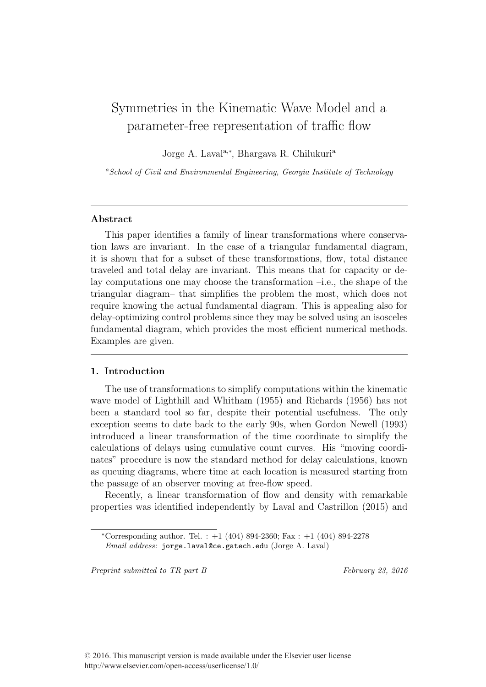# Symmetries in the Kinematic Wave Model and a parameter-free representation of traffic flow

Jorge A. Laval<sup>a,\*</sup>, Bhargava R. Chilukuri<sup>a</sup>

<sup>a</sup>School of Civil and Environmental Engineering, Georgia Institute of Technology

# Abstract

This paper identifies a family of linear transformations where conservation laws are invariant. In the case of a triangular fundamental diagram, it is shown that for a subset of these transformations, flow, total distance traveled and total delay are invariant. This means that for capacity or delay computations one may choose the transformation –i.e., the shape of the triangular diagram– that simplifies the problem the most, which does not require knowing the actual fundamental diagram. This is appealing also for delay-optimizing control problems since they may be solved using an isosceles fundamental diagram, which provides the most efficient numerical methods. Examples are given.

# 1. Introduction

The use of transformations to simplify computations within the kinematic wave model of Lighthill and Whitham (1955) and Richards (1956) has not been a standard tool so far, despite their potential usefulness. The only exception seems to date back to the early 90s, when Gordon Newell (1993) introduced a linear transformation of the time coordinate to simplify the calculations of delays using cumulative count curves. His "moving coordinates" procedure is now the standard method for delay calculations, known as queuing diagrams, where time at each location is measured starting from the passage of an observer moving at free-flow speed.

Recently, a linear transformation of flow and density with remarkable properties was identified independently by Laval and Castrillon (2015) and

Preprint submitted to TR part B February 23, 2016

<sup>\*</sup>Corresponding author. Tel. :  $+1$  (404) 894-2360; Fax :  $+1$  (404) 894-2278 Email address: jorge.laval@ce.gatech.edu (Jorge A. Laval)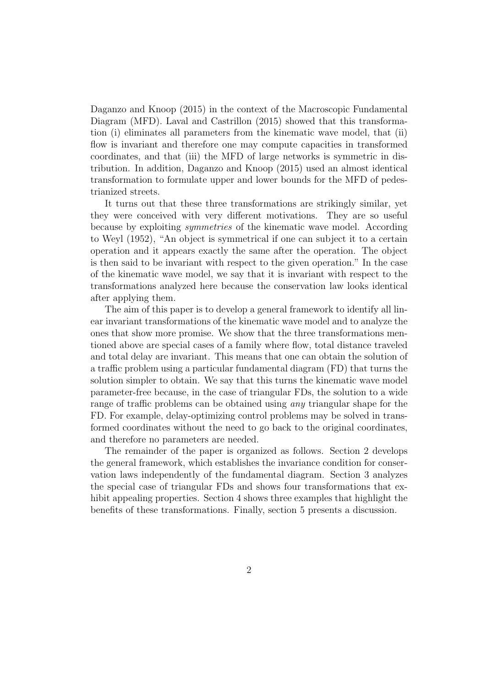Daganzo and Knoop (2015) in the context of the Macroscopic Fundamental Diagram (MFD). Laval and Castrillon (2015) showed that this transformation (i) eliminates all parameters from the kinematic wave model, that (ii) flow is invariant and therefore one may compute capacities in transformed coordinates, and that (iii) the MFD of large networks is symmetric in distribution. In addition, Daganzo and Knoop (2015) used an almost identical transformation to formulate upper and lower bounds for the MFD of pedestrianized streets.

It turns out that these three transformations are strikingly similar, yet they were conceived with very different motivations. They are so useful because by exploiting symmetries of the kinematic wave model. According to Weyl (1952), "An object is symmetrical if one can subject it to a certain operation and it appears exactly the same after the operation. The object is then said to be invariant with respect to the given operation." In the case of the kinematic wave model, we say that it is invariant with respect to the transformations analyzed here because the conservation law looks identical after applying them.

The aim of this paper is to develop a general framework to identify all linear invariant transformations of the kinematic wave model and to analyze the ones that show more promise. We show that the three transformations mentioned above are special cases of a family where flow, total distance traveled and total delay are invariant. This means that one can obtain the solution of a traffic problem using a particular fundamental diagram (FD) that turns the solution simpler to obtain. We say that this turns the kinematic wave model parameter-free because, in the case of triangular FDs, the solution to a wide range of traffic problems can be obtained using *any* triangular shape for the FD. For example, delay-optimizing control problems may be solved in transformed coordinates without the need to go back to the original coordinates, and therefore no parameters are needed.

The remainder of the paper is organized as follows. Section 2 develops the general framework, which establishes the invariance condition for conservation laws independently of the fundamental diagram. Section 3 analyzes the special case of triangular FDs and shows four transformations that exhibit appealing properties. Section 4 shows three examples that highlight the benefits of these transformations. Finally, section 5 presents a discussion.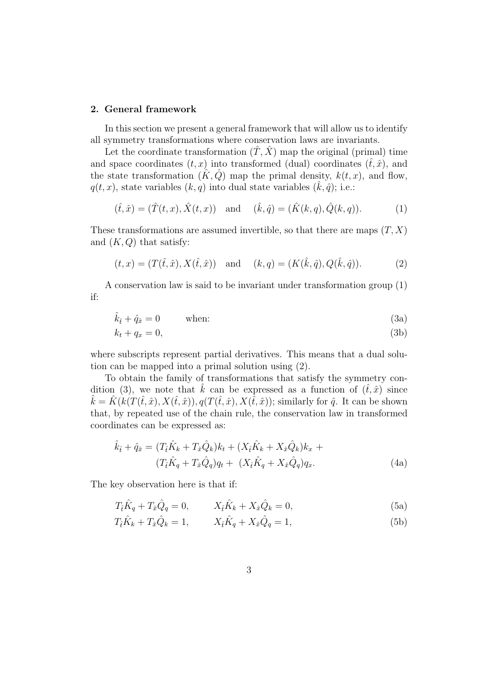# 2. General framework

In this section we present a general framework that will allow us to identify all symmetry transformations where conservation laws are invariants.

Let the coordinate transformation  $(\hat{T}, \hat{X})$  map the original (primal) time and space coordinates  $(t, x)$  into transformed (dual) coordinates  $(\hat{t}, \hat{x})$ , and the state transformation  $(\hat{K}, \hat{Q})$  map the primal density,  $k(t, x)$ , and flow,  $q(t, x)$ , state variables  $(k, q)$  into dual state variables  $(\hat{k}, \hat{q})$ ; i.e.:

$$
(\hat{t}, \hat{x}) = (\hat{T}(t, x), \hat{X}(t, x))
$$
 and  $(\hat{k}, \hat{q}) = (\hat{K}(k, q), \hat{Q}(k, q)).$  (1)

These transformations are assumed invertible, so that there are maps  $(T, X)$ and  $(K, Q)$  that satisfy:

$$
(t, x) = (T(\hat{t}, \hat{x}), X(\hat{t}, \hat{x}))
$$
 and  $(k, q) = (K(\hat{k}, \hat{q}), Q(\hat{k}, \hat{q})).$  (2)

A conservation law is said to be invariant under transformation group (1) if:

$$
\hat{k}_{\hat{t}} + \hat{q}_{\hat{x}} = 0 \qquad \text{when:} \tag{3a}
$$

$$
k_t + q_x = 0,\t\t(3b)
$$

where subscripts represent partial derivatives. This means that a dual solution can be mapped into a primal solution using (2).

To obtain the family of transformations that satisfy the symmetry condition (3), we note that  $\hat{k}$  can be expressed as a function of  $(\hat{t}, \hat{x})$  since  $k = K(k(T(\hat{t},\hat{x}), X(\hat{t},\hat{x})), q(T(\hat{t},\hat{x}), X(\hat{t},\hat{x}))$ ; similarly for  $\hat{q}$ . It can be shown that, by repeated use of the chain rule, the conservation law in transformed coordinates can be expressed as:

$$
\hat{k}_{\hat{t}} + \hat{q}_{\hat{x}} = (T_{\hat{t}}\hat{K}_k + T_{\hat{x}}\hat{Q}_k)k_t + (X_{\hat{t}}\hat{K}_k + X_{\hat{x}}\hat{Q}_k)k_x + (T_{\hat{t}}\hat{K}_q + T_{\hat{x}}\hat{Q}_q)q_t + (X_{\hat{t}}\hat{K}_q + X_{\hat{x}}\hat{Q}_q)q_x.
$$
\n(4a)

The key observation here is that if:

$$
T_{\hat{t}}\hat{K}_q + T_{\hat{x}}\hat{Q}_q = 0, \qquad X_{\hat{t}}\hat{K}_k + X_{\hat{x}}\hat{Q}_k = 0,
$$
\n(5a)

$$
T_{\hat{t}}\hat{K}_k + T_{\hat{x}}\hat{Q}_k = 1, \qquad X_{\hat{t}}\hat{K}_q + X_{\hat{x}}\hat{Q}_q = 1,\tag{5b}
$$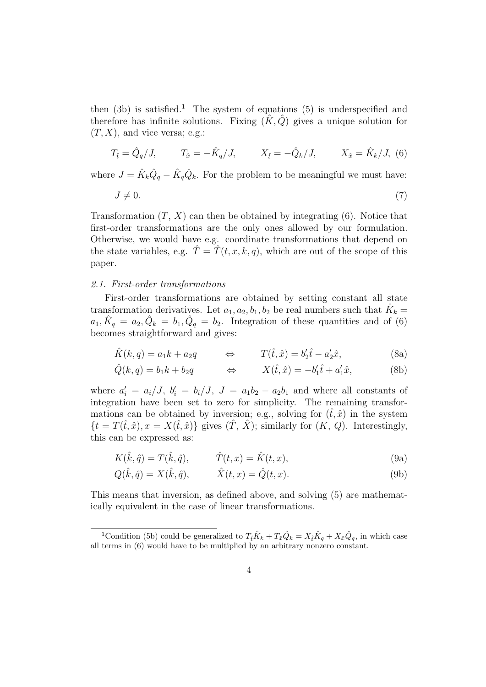then  $(3b)$  is satisfied.<sup>1</sup> The system of equations  $(5)$  is underspecified and therefore has infinite solutions. Fixing  $(\hat{K}, \hat{Q})$  gives a unique solution for  $(T, X)$ , and vice versa; e.g.:

$$
T_{\hat{t}} = \hat{Q}_q / J, \qquad T_{\hat{x}} = -\hat{K}_q / J, \qquad X_{\hat{t}} = -\hat{Q}_k / J, \qquad X_{\hat{x}} = \hat{K}_k / J, \quad (6)
$$

where  $J = \hat{K}_k \hat{Q}_q - \hat{K}_q \hat{Q}_k$ . For the problem to be meaningful we must have:

$$
J \neq 0.\tag{7}
$$

Transformation  $(T, X)$  can then be obtained by integrating  $(6)$ . Notice that first-order transformations are the only ones allowed by our formulation. Otherwise, we would have e.g. coordinate transformations that depend on the state variables, e.g.  $\hat{T} = \hat{T}(t, x, k, q)$ , which are out of the scope of this paper.

# 2.1. First-order transformations

First-order transformations are obtained by setting constant all state transformation derivatives. Let  $a_1, a_2, b_1, b_2$  be real numbers such that  $\hat{K}_k =$  $a_1, \hat{K}_q = a_2, \hat{Q}_k = b_1, \hat{Q}_q = b_2$ . Integration of these quantities and of (6) becomes straightforward and gives:

$$
\hat{K}(k,q) = a_1k + a_2q \qquad \Leftrightarrow \qquad T(\hat{t},\hat{x}) = b_2'\hat{t} - a_2'\hat{x}, \tag{8a}
$$

$$
\hat{Q}(k,q) = b_1k + b_2q \qquad \Leftrightarrow \qquad X(\hat{t},\hat{x}) = -b'_1\hat{t} + a'_1\hat{x}, \tag{8b}
$$

where  $a'_i = a_i/J$ ,  $b'_i = b_i/J$ ,  $J = a_1b_2 - a_2b_1$  and where all constants of integration have been set to zero for simplicity. The remaining transformations can be obtained by inversion; e.g., solving for  $(\hat{t}, \hat{x})$  in the system  $\{t = T(\hat{t}, \hat{x}), x = X(\hat{t}, \hat{x})\}\$ gives  $(\hat{T}, \hat{X})$ ; similarly for  $(K, Q)$ . Interestingly, this can be expressed as:

$$
K(\hat{k}, \hat{q}) = T(\hat{k}, \hat{q}), \qquad \hat{T}(t, x) = \hat{K}(t, x), \qquad (9a)
$$

$$
Q(\hat{k}, \hat{q}) = X(\hat{k}, \hat{q}), \qquad \hat{X}(t, x) = \hat{Q}(t, x).
$$
 (9b)

This means that inversion, as defined above, and solving (5) are mathematically equivalent in the case of linear transformations.

<sup>&</sup>lt;sup>1</sup>Condition (5b) could be generalized to  $T_{\hat{t}}\hat{K}_k + T_{\hat{x}}\hat{Q}_k = X_{\hat{t}}\hat{K}_q + X_{\hat{x}}\hat{Q}_q$ , in which case all terms in (6) would have to be multiplied by an arbitrary nonzero constant.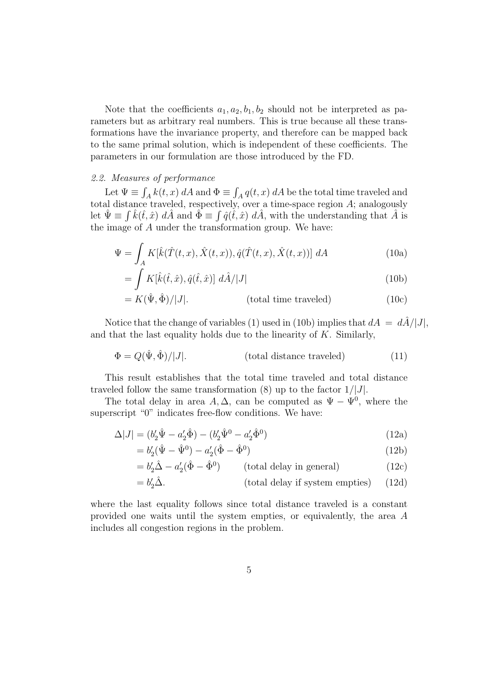Note that the coefficients  $a_1, a_2, b_1, b_2$  should not be interpreted as parameters but as arbitrary real numbers. This is true because all these transformations have the invariance property, and therefore can be mapped back to the same primal solution, which is independent of these coefficients. The parameters in our formulation are those introduced by the FD.

#### 2.2. Measures of performance

Let  $\Psi \equiv \int_A k(t, x) dA$  and  $\Phi \equiv \int_A q(t, x) dA$  be the total time traveled and total distance traveled, respectively, over a time-space region A; analogously let  $\hat{\Psi} \equiv \int \hat{k}(\hat{t},\hat{x}) d\hat{A}$  and  $\hat{\Phi} \equiv \int \hat{q}(\hat{t},\hat{x}) d\hat{A}$ , with the understanding that  $\hat{A}$  is the image of A under the transformation group. We have:

$$
\Psi = \int_{A} K[\hat{k}(\hat{T}(t,x), \hat{X}(t,x)), \hat{q}(\hat{T}(t,x), \hat{X}(t,x))] dA \qquad (10a)
$$

$$
= \int K[\hat{k}(\hat{t}, \hat{x}), \hat{q}(\hat{t}, \hat{x})] d\hat{A}/|J|
$$
\n(10b)

$$
= K(\hat{\Psi}, \hat{\Phi})/|J|.
$$
 (total time traveled) (10c)

Notice that the change of variables (1) used in (10b) implies that  $dA = d\hat{A}/|J|$ , and that the last equality holds due to the linearity of  $K$ . Similarly,

$$
\Phi = Q(\hat{\Psi}, \hat{\Phi})/|J|.
$$
 (total distance traveled) (11)

This result establishes that the total time traveled and total distance traveled follow the same transformation  $(8)$  up to the factor  $1/|J|$ .

The total delay in area  $A, \Delta$ , can be computed as  $\Psi - \Psi^0$ , where the superscript "0" indicates free-flow conditions. We have:

$$
\Delta|J| = (b'_2 \hat{\Psi} - a'_2 \hat{\Phi}) - (b'_2 \hat{\Psi}^0 - a'_2 \hat{\Phi}^0)
$$
\n(12a)

$$
=b_2'(\hat{\Psi} - \hat{\Psi}^0) - a_2'(\hat{\Phi} - \hat{\Phi}^0)
$$
\n(12b)

$$
= b'_2 \hat{\Delta} - a'_2 (\hat{\Phi} - \hat{\Phi}^0) \qquad \text{(total delay in general)} \tag{12c}
$$

$$
= b_2' \hat{\Delta}.
$$
 (total delay if system empties) (12d)

where the last equality follows since total distance traveled is a constant provided one waits until the system empties, or equivalently, the area A includes all congestion regions in the problem.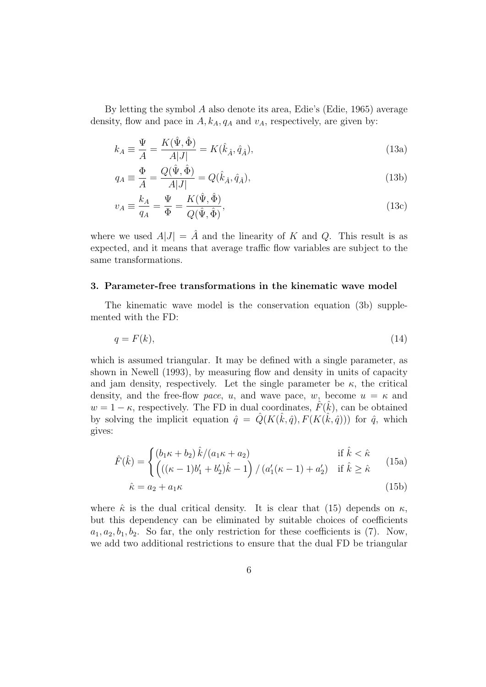By letting the symbol A also denote its area, Edie's (Edie, 1965) average density, flow and pace in  $A, k_A, q_A$  and  $v_A$ , respectively, are given by:

$$
k_A \equiv \frac{\Psi}{A} = \frac{K(\hat{\Psi}, \hat{\Phi})}{A|J|} = K(\hat{k}_{\hat{A}}, \hat{q}_{\hat{A}}),
$$
\n(13a)

$$
q_A \equiv \frac{\Phi}{A} = \frac{Q(\hat{\Psi}, \hat{\Phi})}{A|J|} = Q(\hat{k}_{\hat{A}}, \hat{q}_{\hat{A}}),\tag{13b}
$$

$$
v_A \equiv \frac{k_A}{q_A} = \frac{\Psi}{\Phi} = \frac{K(\hat{\Psi}, \hat{\Phi})}{Q(\hat{\Psi}, \hat{\Phi})},\tag{13c}
$$

where we used  $A|J| = \hat{A}$  and the linearity of K and Q. This result is as expected, and it means that average traffic flow variables are subject to the same transformations.

#### 3. Parameter-free transformations in the kinematic wave model

The kinematic wave model is the conservation equation (3b) supplemented with the FD:

$$
q = F(k),\tag{14}
$$

which is assumed triangular. It may be defined with a single parameter, as shown in Newell (1993), by measuring flow and density in units of capacity and jam density, respectively. Let the single parameter be  $\kappa$ , the critical density, and the free-flow pace, u, and wave pace, w, become  $u = \kappa$  and  $w = 1 - \kappa$ , respectively. The FD in dual coordinates,  $\hat{F}(\hat{k})$ , can be obtained by solving the implicit equation  $\hat{q} = \hat{Q}(K(\hat{k}, \hat{q}), F(K(\hat{k}, \hat{q})))$  for  $\hat{q}$ , which gives:

$$
\hat{F}(\hat{k}) = \begin{cases}\n(b_1\kappa + b_2)\,\hat{k}/(a_1\kappa + a_2) & \text{if } \hat{k} < \hat{\kappa} \\
(c(\kappa - 1)k' + k')\,\hat{k} - 1) / (a'(\kappa - 1) + a') & \text{if } \hat{k} > \hat{\kappa}\n\end{cases}
$$
\n(15a)

$$
F(\kappa) = \left( \left( (\kappa - 1)b_1' + b_2' \right) \hat{k} - 1 \right) / \left( a_1'(\kappa - 1) + a_2' \right) \quad \text{if } \hat{k} \ge \hat{\kappa} \tag{15a}
$$

$$
\hat{\kappa} = a_2 + a_1 \kappa \tag{15b}
$$

where  $\hat{\kappa}$  is the dual critical density. It is clear that (15) depends on  $\kappa$ , but this dependency can be eliminated by suitable choices of coefficients  $a_1, a_2, b_1, b_2$ . So far, the only restriction for these coefficients is (7). Now, we add two additional restrictions to ensure that the dual FD be triangular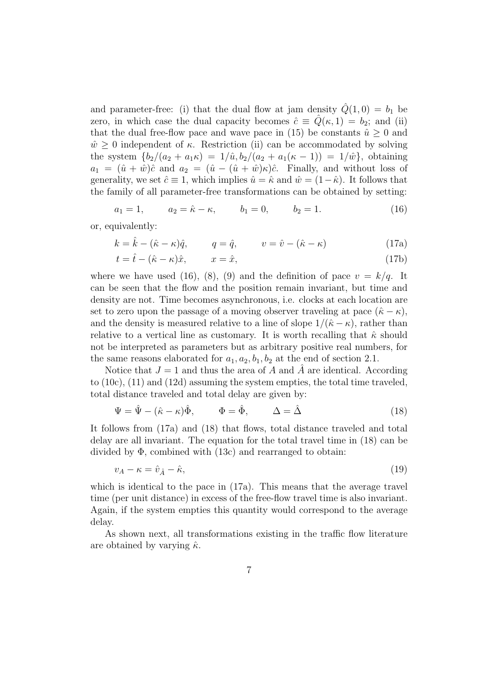and parameter-free: (i) that the dual flow at jam density  $\hat{Q}(1,0) = b_1$  be zero, in which case the dual capacity becomes  $\hat{c} \equiv \hat{Q}(\kappa, 1) = b_2$ ; and (ii) that the dual free-flow pace and wave pace in (15) be constants  $\hat{u} \geq 0$  and  $\hat{w} \geq 0$  independent of  $\kappa$ . Restriction (ii) can be accommodated by solving the system  ${b_2/(a_2 + a_1\kappa) = 1/\hat{u}, b_2/(a_2 + a_1(\kappa - 1)) = 1/\hat{w}}$ , obtaining  $a_1 = (\hat{u} + \hat{w})\hat{c}$  and  $a_2 = (\hat{u} - (\hat{u} + \hat{w})\hat{\kappa})\hat{c}$ . Finally, and without loss of generality, we set  $\hat{c} \equiv 1$ , which implies  $\hat{u} = \hat{\kappa}$  and  $\hat{w} = (1-\hat{\kappa})$ . It follows that the family of all parameter-free transformations can be obtained by setting:

$$
a_1 = 1, \qquad a_2 = \hat{\kappa} - \kappa, \qquad b_1 = 0, \qquad b_2 = 1. \tag{16}
$$

or, equivalently:

$$
k = \hat{k} - (\hat{\kappa} - \kappa)\hat{q}, \qquad q = \hat{q}, \qquad v = \hat{v} - (\hat{\kappa} - \kappa) \tag{17a}
$$

$$
t = \hat{t} - (\hat{\kappa} - \kappa)\hat{x}, \qquad x = \hat{x}, \tag{17b}
$$

where we have used (16), (8), (9) and the definition of pace  $v = k/q$ . It can be seen that the flow and the position remain invariant, but time and density are not. Time becomes asynchronous, i.e. clocks at each location are set to zero upon the passage of a moving observer traveling at pace  $(\hat{\kappa} - \kappa)$ , and the density is measured relative to a line of slope  $1/(\hat{\kappa} - \kappa)$ , rather than relative to a vertical line as customary. It is worth recalling that  $\hat{\kappa}$  should not be interpreted as parameters but as arbitrary positive real numbers, for the same reasons elaborated for  $a_1, a_2, b_1, b_2$  at the end of section 2.1.

Notice that  $J = 1$  and thus the area of A and  $\hat{A}$  are identical. According to (10c), (11) and (12d) assuming the system empties, the total time traveled, total distance traveled and total delay are given by:

$$
\Psi = \hat{\Psi} - (\hat{\kappa} - \kappa)\hat{\Phi}, \qquad \Phi = \hat{\Phi}, \qquad \Delta = \hat{\Delta}
$$
 (18)

It follows from (17a) and (18) that flows, total distance traveled and total delay are all invariant. The equation for the total travel time in (18) can be divided by Φ, combined with (13c) and rearranged to obtain:

$$
v_A - \kappa = \hat{v}_{\hat{A}} - \hat{\kappa},\tag{19}
$$

which is identical to the pace in  $(17a)$ . This means that the average travel time (per unit distance) in excess of the free-flow travel time is also invariant. Again, if the system empties this quantity would correspond to the average delay.

As shown next, all transformations existing in the traffic flow literature are obtained by varying  $\hat{\kappa}$ .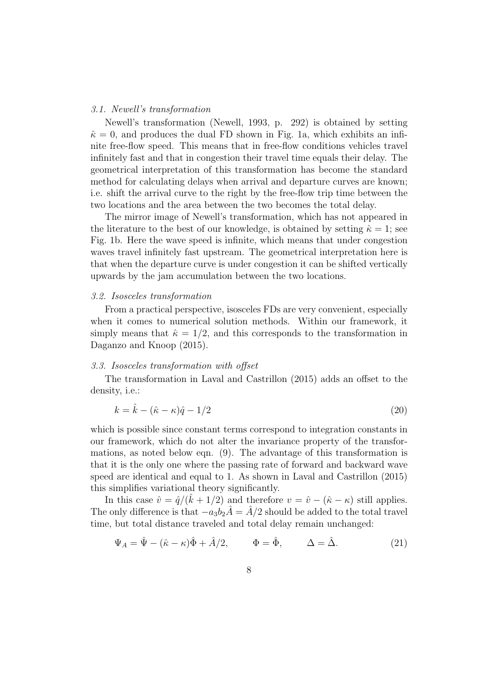#### 3.1. Newell's transformation

Newell's transformation (Newell, 1993, p. 292) is obtained by setting  $\hat{\kappa} = 0$ , and produces the dual FD shown in Fig. 1a, which exhibits an infinite free-flow speed. This means that in free-flow conditions vehicles travel infinitely fast and that in congestion their travel time equals their delay. The geometrical interpretation of this transformation has become the standard method for calculating delays when arrival and departure curves are known; i.e. shift the arrival curve to the right by the free-flow trip time between the two locations and the area between the two becomes the total delay.

The mirror image of Newell's transformation, which has not appeared in the literature to the best of our knowledge, is obtained by setting  $\hat{\kappa} = 1$ ; see Fig. 1b. Here the wave speed is infinite, which means that under congestion waves travel infinitely fast upstream. The geometrical interpretation here is that when the departure curve is under congestion it can be shifted vertically upwards by the jam accumulation between the two locations.

#### 3.2. Isosceles transformation

From a practical perspective, isosceles FDs are very convenient, especially when it comes to numerical solution methods. Within our framework, it simply means that  $\hat{\kappa} = 1/2$ , and this corresponds to the transformation in Daganzo and Knoop (2015).

#### 3.3. Isosceles transformation with offset

The transformation in Laval and Castrillon (2015) adds an offset to the density, i.e.:

$$
k = \hat{k} - (\hat{\kappa} - \kappa)\hat{q} - 1/2\tag{20}
$$

which is possible since constant terms correspond to integration constants in our framework, which do not alter the invariance property of the transformations, as noted below eqn. (9). The advantage of this transformation is that it is the only one where the passing rate of forward and backward wave speed are identical and equal to 1. As shown in Laval and Castrillon (2015) this simplifies variational theory significantly.

In this case  $\hat{v} = \hat{q}/(\hat{k} + 1/2)$  and therefore  $v = \hat{v} - (\hat{\kappa} - \kappa)$  still applies. The only difference is that  $-a_3b_2\hat{A} = \hat{A}/2$  should be added to the total travel time, but total distance traveled and total delay remain unchanged:

$$
\Psi_A = \hat{\Psi} - (\hat{\kappa} - \kappa)\hat{\Phi} + \hat{A}/2, \qquad \Phi = \hat{\Phi}, \qquad \Delta = \hat{\Delta}.
$$
 (21)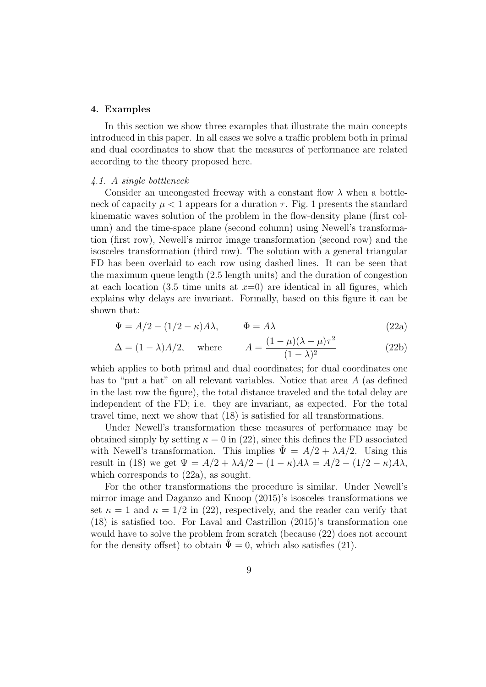#### 4. Examples

In this section we show three examples that illustrate the main concepts introduced in this paper. In all cases we solve a traffic problem both in primal and dual coordinates to show that the measures of performance are related according to the theory proposed here.

#### 4.1. A single bottleneck

Consider an uncongested freeway with a constant flow  $\lambda$  when a bottleneck of capacity  $\mu < 1$  appears for a duration  $\tau$ . Fig. 1 presents the standard kinematic waves solution of the problem in the flow-density plane (first column) and the time-space plane (second column) using Newell's transformation (first row), Newell's mirror image transformation (second row) and the isosceles transformation (third row). The solution with a general triangular FD has been overlaid to each row using dashed lines. It can be seen that the maximum queue length (2.5 length units) and the duration of congestion at each location (3.5 time units at  $x=0$ ) are identical in all figures, which explains why delays are invariant. Formally, based on this figure it can be shown that:

$$
\Psi = A/2 - (1/2 - \kappa)A\lambda, \qquad \Phi = A\lambda \tag{22a}
$$

$$
\Delta = (1 - \lambda)A/2, \quad \text{where} \quad A = \frac{(1 - \mu)(\lambda - \mu)\tau^2}{(1 - \lambda)^2} \tag{22b}
$$

which applies to both primal and dual coordinates; for dual coordinates one has to "put a hat" on all relevant variables. Notice that area A (as defined in the last row the figure), the total distance traveled and the total delay are independent of the FD; i.e. they are invariant, as expected. For the total travel time, next we show that (18) is satisfied for all transformations.

Under Newell's transformation these measures of performance may be obtained simply by setting  $\kappa = 0$  in (22), since this defines the FD associated with Newell's transformation. This implies  $\hat{\Psi} = A/2 + \lambda A/2$ . Using this result in (18) we get  $\Psi = A/2 + \lambda A/2 - (1 - \kappa)A\lambda = A/2 - (1/2 - \kappa)A\lambda$ , which corresponds to (22a), as sought.

For the other transformations the procedure is similar. Under Newell's mirror image and Daganzo and Knoop (2015)'s isosceles transformations we set  $\kappa = 1$  and  $\kappa = 1/2$  in (22), respectively, and the reader can verify that (18) is satisfied too. For Laval and Castrillon (2015)'s transformation one would have to solve the problem from scratch (because (22) does not account for the density offset) to obtain  $\Psi = 0$ , which also satisfies (21).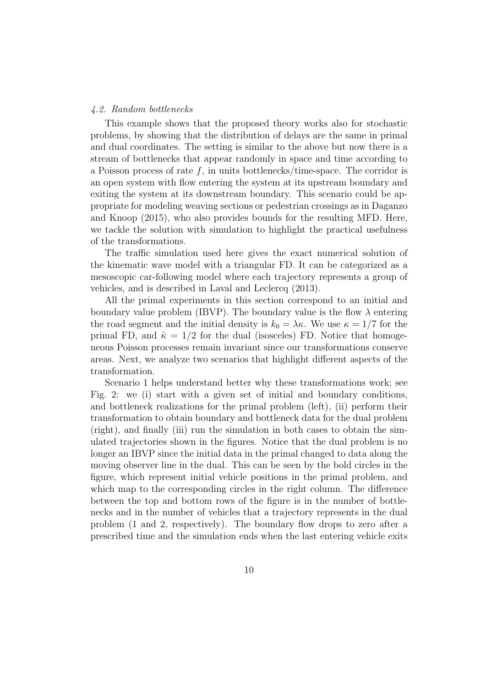#### 4.2. Random bottlenecks

This example shows that the proposed theory works also for stochastic problems, by showing that the distribution of delays are the same in primal and dual coordinates. The setting is similar to the above but now there is a stream of bottlenecks that appear randomly in space and time according to a Poisson process of rate  $f$ , in units bottlenecks/time-space. The corridor is an open system with flow entering the system at its upstream boundary and exiting the system at its downstream boundary. This scenario could be appropriate for modeling weaving sections or pedestrian crossings as in Daganzo and Knoop (2015), who also provides bounds for the resulting MFD. Here, we tackle the solution with simulation to highlight the practical usefulness of the transformations.

The traffic simulation used here gives the exact numerical solution of the kinematic wave model with a triangular FD. It can be categorized as a mesoscopic car-following model where each trajectory represents a group of vehicles, and is described in Laval and Leclercq (2013).

All the primal experiments in this section correspond to an initial and boundary value problem (IBVP). The boundary value is the flow  $\lambda$  entering the road segment and the initial density is  $k_0 = \lambda \kappa$ . We use  $\kappa = 1/7$  for the primal FD, and  $\hat{\kappa} = 1/2$  for the dual (isosceles) FD. Notice that homogeneous Poisson processes remain invariant since our transformations conserve areas. Next, we analyze two scenarios that highlight different aspects of the transformation.

Scenario 1 helps understand better why these transformations work; see Fig. 2: we (i) start with a given set of initial and boundary conditions, and bottleneck realizations for the primal problem (left), (ii) perform their transformation to obtain boundary and bottleneck data for the dual problem (right), and finally (iii) run the simulation in both cases to obtain the simulated trajectories shown in the figures. Notice that the dual problem is no longer an IBVP since the initial data in the primal changed to data along the moving observer line in the dual. This can be seen by the bold circles in the figure, which represent initial vehicle positions in the primal problem, and which map to the corresponding circles in the right column. The difference between the top and bottom rows of the figure is in the number of bottlenecks and in the number of vehicles that a trajectory represents in the dual problem (1 and 2, respectively). The boundary flow drops to zero after a prescribed time and the simulation ends when the last entering vehicle exits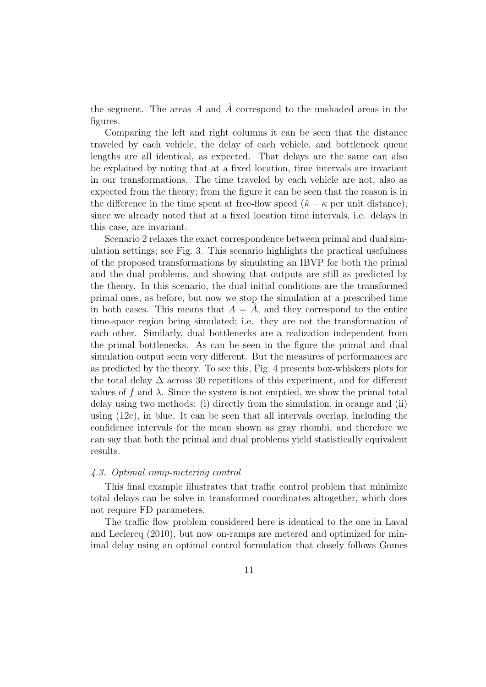the segment. The areas A and  $\hat{A}$  correspond to the unshaded areas in the figures.

Comparing the left and right columns it can be seen that the distance traveled by each vehicle, the delay of each vehicle, and bottleneck queue lengths are all identical, as expected. That delays are the same can also be explained by noting that at a fixed location, time intervals are invariant in our transformations. The time traveled by each vehicle are not, also as expected from the theory; from the figure it can be seen that the reason is in the difference in the time spent at free-flow speed  $(\hat{\kappa} - \kappa)$  per unit distance), since we already noted that at a fixed location time intervals, i.e. delays in this case, are invariant.

Scenario 2 relaxes the exact correspondence between primal and dual simulation settings; see Fig. 3. This scenario highlights the practical usefulness of the proposed transformations by simulating an IBVP for both the primal and the dual problems, and showing that outputs are still as predicted by the theory. In this scenario, the dual initial conditions are the transformed primal ones, as before, but now we stop the simulation at a prescribed time in both cases. This means that  $A = \overline{A}$ , and they correspond to the entire time-space region being simulated; i.e. they are not the transformation of each other. Similarly, dual bottlenecks are a realization independent from the primal bottlenecks. As can be seen in the figure the primal and dual simulation output seem very different. But the measures of performances are as predicted by the theory. To see this, Fig. 4 presents box-whiskers plots for the total delay  $\Delta$  across 30 repetitions of this experiment, and for different values of f and  $\lambda$ . Since the system is not emptied, we show the primal total delay using two methods: (i) directly from the simulation, in orange and (ii) using  $(12c)$ , in blue. It can be seen that all intervals overlap, including the confidence intervals for the mean shown as gray rhombi, and therefore we can say that both the primal and dual problems yield statistically equivalent results.

# 4.3. Optimal ramp-metering control

This final example illustrates that traffic control problem that minimize total delays can be solve in transformed coordinates altogether, which does not require FD parameters.

The traffic flow problem considered here is identical to the one in Laval and Leclercq (2010), but now on-ramps are metered and optimized for minimal delay using an optimal control formulation that closely follows Gomes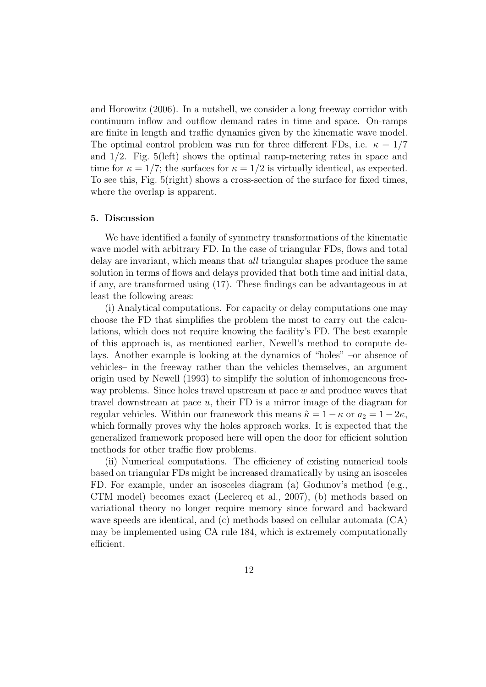and Horowitz (2006). In a nutshell, we consider a long freeway corridor with continuum inflow and outflow demand rates in time and space. On-ramps are finite in length and traffic dynamics given by the kinematic wave model. The optimal control problem was run for three different FDs, i.e.  $\kappa = 1/7$ and 1/2. Fig. 5(left) shows the optimal ramp-metering rates in space and time for  $\kappa = 1/7$ ; the surfaces for  $\kappa = 1/2$  is virtually identical, as expected. To see this, Fig. 5(right) shows a cross-section of the surface for fixed times, where the overlap is apparent.

# 5. Discussion

We have identified a family of symmetry transformations of the kinematic wave model with arbitrary FD. In the case of triangular FDs, flows and total delay are invariant, which means that *all* triangular shapes produce the same solution in terms of flows and delays provided that both time and initial data, if any, are transformed using (17). These findings can be advantageous in at least the following areas:

(i) Analytical computations. For capacity or delay computations one may choose the FD that simplifies the problem the most to carry out the calculations, which does not require knowing the facility's FD. The best example of this approach is, as mentioned earlier, Newell's method to compute delays. Another example is looking at the dynamics of "holes" –or absence of vehicles– in the freeway rather than the vehicles themselves, an argument origin used by Newell (1993) to simplify the solution of inhomogeneous freeway problems. Since holes travel upstream at pace  $w$  and produce waves that travel downstream at pace u, their FD is a mirror image of the diagram for regular vehicles. Within our framework this means  $\hat{\kappa} = 1 - \kappa$  or  $a_2 = 1 - 2\kappa$ , which formally proves why the holes approach works. It is expected that the generalized framework proposed here will open the door for efficient solution methods for other traffic flow problems.

(ii) Numerical computations. The efficiency of existing numerical tools based on triangular FDs might be increased dramatically by using an isosceles FD. For example, under an isosceles diagram (a) Godunov's method (e.g., CTM model) becomes exact (Leclercq et al., 2007), (b) methods based on variational theory no longer require memory since forward and backward wave speeds are identical, and (c) methods based on cellular automata (CA) may be implemented using CA rule 184, which is extremely computationally efficient.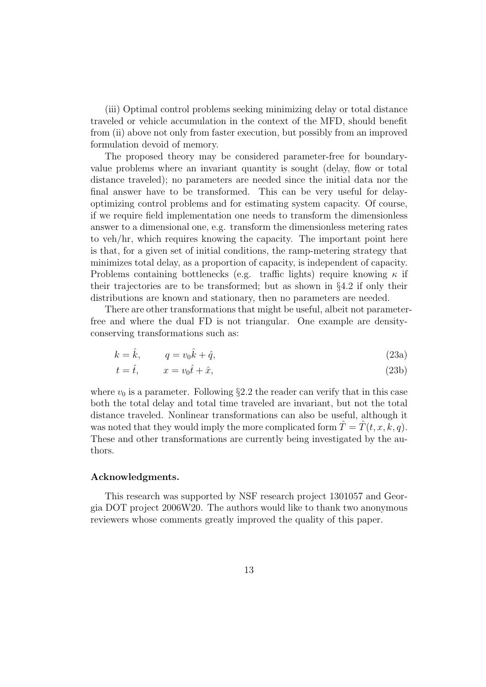(iii) Optimal control problems seeking minimizing delay or total distance traveled or vehicle accumulation in the context of the MFD, should benefit from (ii) above not only from faster execution, but possibly from an improved formulation devoid of memory.

The proposed theory may be considered parameter-free for boundaryvalue problems where an invariant quantity is sought (delay, flow or total distance traveled); no parameters are needed since the initial data nor the final answer have to be transformed. This can be very useful for delayoptimizing control problems and for estimating system capacity. Of course, if we require field implementation one needs to transform the dimensionless answer to a dimensional one, e.g. transform the dimensionless metering rates to veh/hr, which requires knowing the capacity. The important point here is that, for a given set of initial conditions, the ramp-metering strategy that minimizes total delay, as a proportion of capacity, is independent of capacity. Problems containing bottlenecks (e.g. traffic lights) require knowing  $\kappa$  if their trajectories are to be transformed; but as shown in  $\S 4.2$  if only their distributions are known and stationary, then no parameters are needed.

There are other transformations that might be useful, albeit not parameterfree and where the dual FD is not triangular. One example are densityconserving transformations such as:

$$
k = \hat{k}, \qquad q = v_0 \hat{k} + \hat{q}, \tag{23a}
$$

$$
t = \hat{t}, \qquad x = v_0 \hat{t} + \hat{x}, \tag{23b}
$$

where  $v_0$  is a parameter. Following §2.2 the reader can verify that in this case both the total delay and total time traveled are invariant, but not the total distance traveled. Nonlinear transformations can also be useful, although it was noted that they would imply the more complicated form  $\hat{T} = \hat{T}(t, x, k, q)$ . These and other transformations are currently being investigated by the authors.

# Acknowledgments.

This research was supported by NSF research project 1301057 and Georgia DOT project 2006W20. The authors would like to thank two anonymous reviewers whose comments greatly improved the quality of this paper.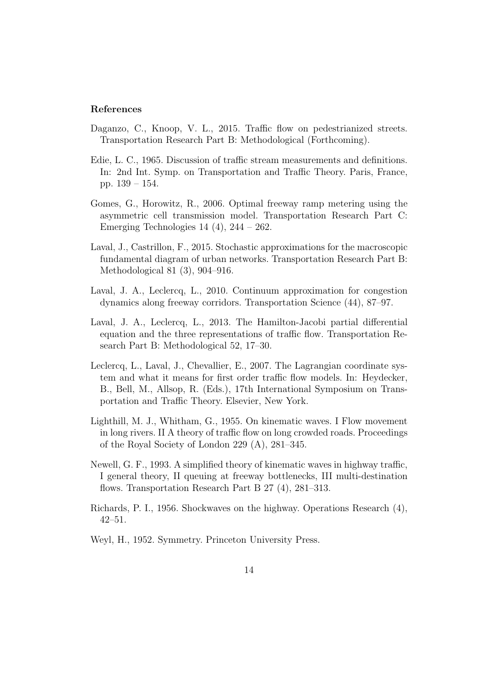# References

- Daganzo, C., Knoop, V. L., 2015. Traffic flow on pedestrianized streets. Transportation Research Part B: Methodological (Forthcoming).
- Edie, L. C., 1965. Discussion of traffic stream measurements and definitions. In: 2nd Int. Symp. on Transportation and Traffic Theory. Paris, France, pp. 139 – 154.
- Gomes, G., Horowitz, R., 2006. Optimal freeway ramp metering using the asymmetric cell transmission model. Transportation Research Part C: Emerging Technologies  $14$  (4),  $244 - 262$ .
- Laval, J., Castrillon, F., 2015. Stochastic approximations for the macroscopic fundamental diagram of urban networks. Transportation Research Part B: Methodological 81 (3), 904–916.
- Laval, J. A., Leclercq, L., 2010. Continuum approximation for congestion dynamics along freeway corridors. Transportation Science (44), 87–97.
- Laval, J. A., Leclercq, L., 2013. The Hamilton-Jacobi partial differential equation and the three representations of traffic flow. Transportation Research Part B: Methodological 52, 17–30.
- Leclercq, L., Laval, J., Chevallier, E., 2007. The Lagrangian coordinate system and what it means for first order traffic flow models. In: Heydecker, B., Bell, M., Allsop, R. (Eds.), 17th International Symposium on Transportation and Traffic Theory. Elsevier, New York.
- Lighthill, M. J., Whitham, G., 1955. On kinematic waves. I Flow movement in long rivers. II A theory of traffic flow on long crowded roads. Proceedings of the Royal Society of London 229 (A), 281–345.
- Newell, G. F., 1993. A simplified theory of kinematic waves in highway traffic, I general theory, II queuing at freeway bottlenecks, III multi-destination flows. Transportation Research Part B 27 (4), 281–313.
- Richards, P. I., 1956. Shockwaves on the highway. Operations Research (4), 42–51.
- Weyl, H., 1952. Symmetry. Princeton University Press.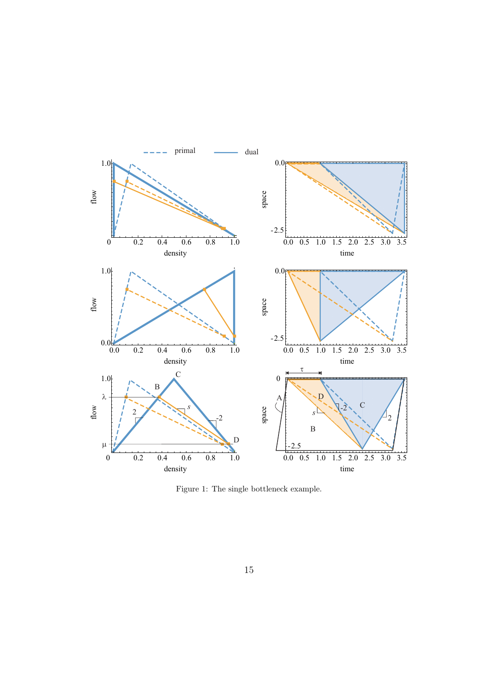

Figure 1: The single bottleneck example.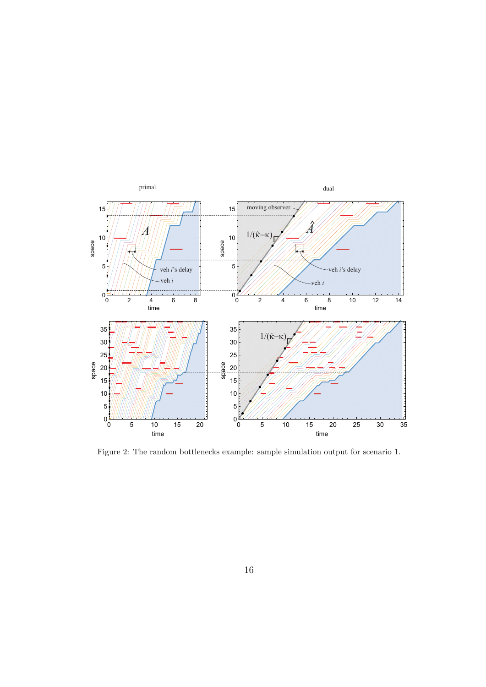

Figure 2: The random bottlenecks example: sample simulation output for scenario 1.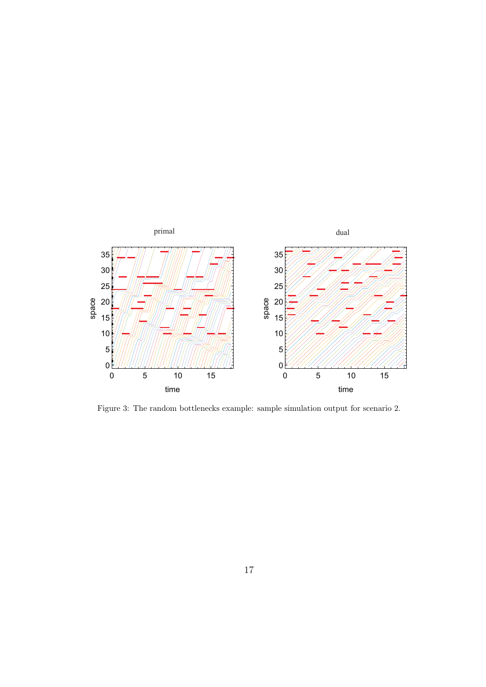

Figure 3: The random bottlenecks example: sample simulation output for scenario 2.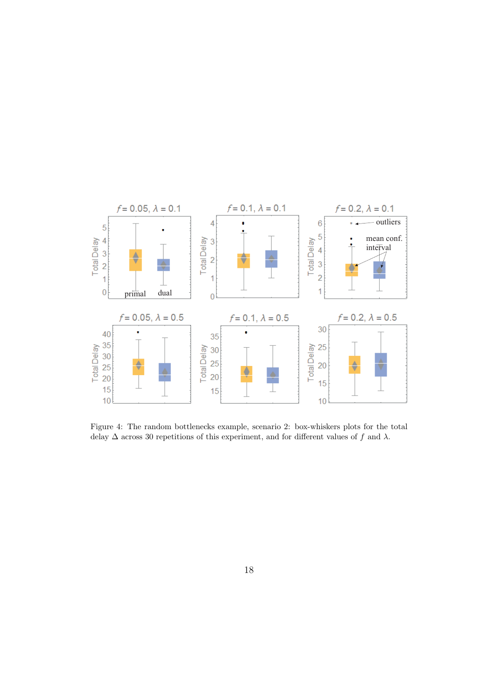

Figure 4: The random bottlenecks example, scenario 2: box-whiskers plots for the total delay  $\Delta$  across 30 repetitions of this experiment, and for different values of f and  $\lambda$ .